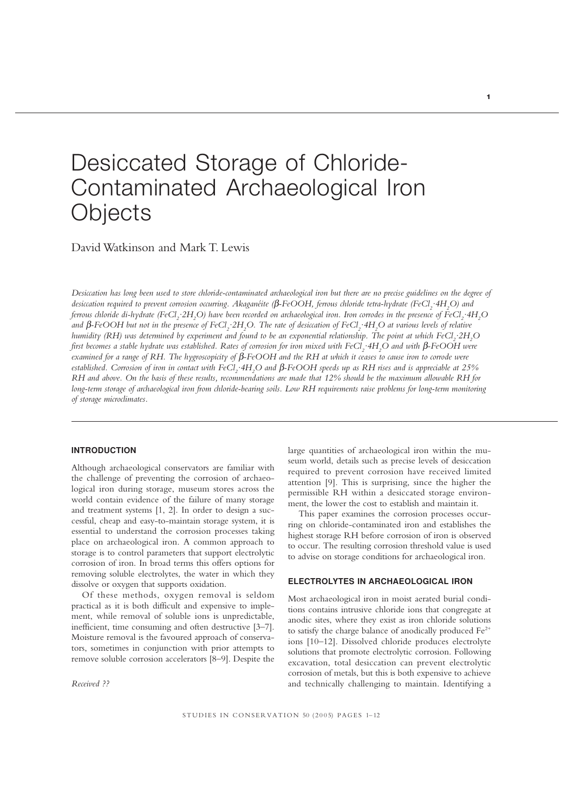# Desiccated Storage of Chloride-Contaminated Archaeological Iron **Objects**

David Watkinson and Mark T. Lewis

*Desiccation has long been used to store chloride-contaminated archaeological iron but there are no precise guidelines on the degree of* desiccation required to prevent corrosion occurring. Akaganéite (β-FeOOH, ferrous chloride tetra-hydrate (FeCl<sub>2</sub>·4H<sub>2</sub>O) and ferrous chloride di-hydrate (FeCl<sub>2</sub>·2H<sub>2</sub>O) have been recorded on archaeological iron. Iron corrodes in the presence of FeCl<sub>2</sub>·4H<sub>2</sub>O and β-FeOOH but not in the presence of FeCl<sub>2</sub>·2H<sub>2</sub>O. The rate of desiccation of FeCl<sub>2</sub>·4H<sub>2</sub>O at various levels of relative  $h$ umidity (RH) was determined by experiment and found to be an exponential relationship. The point at which FeCl $_2^{\cdot}\cdot$ 2H $_2^{\cdot}$ O *first becomes a stable hydrate was established. Rates of corrosion for iron mixed with FeCl<sub>2</sub>·4H<sub>2</sub>O and with β-FeOOH were examined for a range of RH. The hygroscopicity of* β*-FeOOH and the RH at which it ceases to cause iron to corrode were* established. Corrosion of iron in contact with FeCl<sub>2</sub> ·4H<sub>2</sub>O and β-FeOOH speeds up as RH rises and is appreciable at 25% *RH and above. On the basis of these results, recommendations are made that 12% should be the maximum allowable RH for long-term storage of archaeological iron from chloride-bearing soils. Low RH requirements raise problems for long-term monitoring of storage microclimates.*

# **INTRODUCTION**

Although archaeological conservators are familiar with the challenge of preventing the corrosion of archaeological iron during storage, museum stores across the world contain evidence of the failure of many storage and treatment systems [1, 2]. In order to design a successful, cheap and easy-to-maintain storage system, it is essential to understand the corrosion processes taking place on archaeological iron. A common approach to storage is to control parameters that support electrolytic corrosion of iron. In broad terms this offers options for removing soluble electrolytes, the water in which they dissolve or oxygen that supports oxidation.

Of these methods, oxygen removal is seldom practical as it is both difficult and expensive to implement, while removal of soluble ions is unpredictable, inefficient, time consuming and often destructive [3–7]. Moisture removal is the favoured approach of conservators, sometimes in conjunction with prior attempts to remove soluble corrosion accelerators [8–9]. Despite the

*Received ??*

large quantities of archaeological iron within the museum world, details such as precise levels of desiccation required to prevent corrosion have received limited attention [9]. This is surprising, since the higher the permissible RH within a desiccated storage environment, the lower the cost to establish and maintain it.

This paper examines the corrosion processes occurring on chloride-contaminated iron and establishes the highest storage RH before corrosion of iron is observed to occur. The resulting corrosion threshold value is used to advise on storage conditions for archaeological iron.

## **ELECTROLYTES IN ARCHAEOLOGICAL IRON**

Most archaeological iron in moist aerated burial conditions contains intrusive chloride ions that congregate at anodic sites, where they exist as iron chloride solutions to satisfy the charge balance of anodically produced Fe2+ ions [10–12]. Dissolved chloride produces electrolyte solutions that promote electrolytic corrosion. Following excavation, total desiccation can prevent electrolytic corrosion of metals, but this is both expensive to achieve and technically challenging to maintain. Identifying a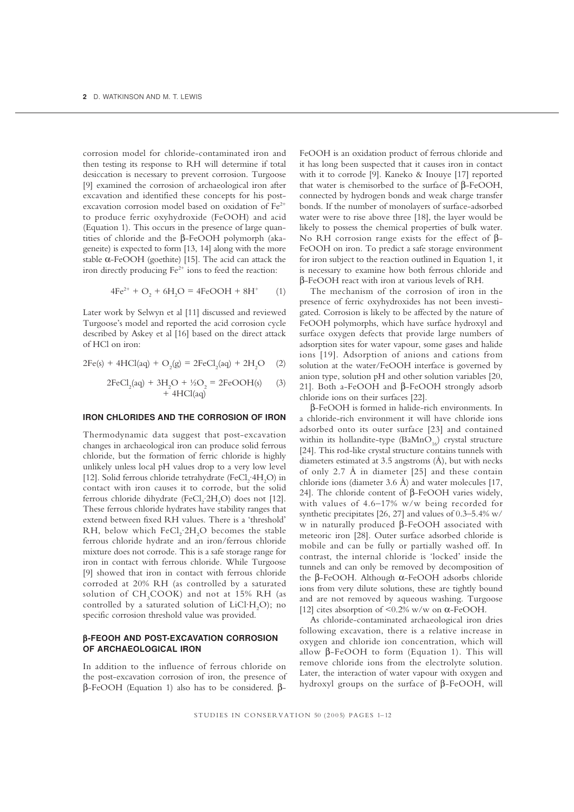corrosion model for chloride-contaminated iron and then testing its response to RH will determine if total desiccation is necessary to prevent corrosion. Turgoose [9] examined the corrosion of archaeological iron after excavation and identified these concepts for his postexcavation corrosion model based on oxidation of Fe<sup>2+</sup> to produce ferric oxyhydroxide (FeOOH) and acid (Equation 1). This occurs in the presence of large quantities of chloride and the β-FeOOH polymorph (akageneite) is expected to form [13, 14] along with the more stable  $\alpha$ -FeOOH (goethite) [15]. The acid can attack the iron directly producing  $Fe^{2+}$  ions to feed the reaction:

$$
4Fe^{2+} + O_2 + 6H_2O = 4FeOOH + 8H^+ \tag{1}
$$

Later work by Selwyn et al [11] discussed and reviewed Turgoose's model and reported the acid corrosion cycle described by Askey et al [16] based on the direct attack of HCl on iron:

$$
2Fe(s) + 4HCl(aq) + O_2(g) = 2FeCl_2(aq) + 2H_2O \quad (2)
$$

$$
2FeCl2(aq) + 3H2O + ½O2 = 2FeOOH(s)
$$
 (3)  
+ 4HCl(aq)

# **IRON CHLORIDES AND THE CORROSION OF IRON**

Thermodynamic data suggest that post-excavation changes in archaeological iron can produce solid ferrous chloride, but the formation of ferric chloride is highly unlikely unless local pH values drop to a very low level [12]. Solid ferrous chloride tetrahydrate (FeCl<sub>2</sub>·4H<sub>2</sub>O) in contact with iron causes it to corrode, but the solid ferrous chloride dihydrate (FeCl<sub>2</sub>·2H<sub>2</sub>O) does not [12]. These ferrous chloride hydrates have stability ranges that extend between fixed RH values. There is a 'threshold' RH, below which  $FeCl<sub>2</sub>·2H<sub>2</sub>O$  becomes the stable ferrous chloride hydrate and an iron/ferrous chloride mixture does not corrode. This is a safe storage range for iron in contact with ferrous chloride. While Turgoose [9] showed that iron in contact with ferrous chloride corroded at 20% RH (as controlled by a saturated solution of  $\text{CH}_{3} \text{COOK}$ ) and not at 15% RH (as controlled by a saturated solution of  $LiCl·H<sub>2</sub>O$ ); no specific corrosion threshold value was provided.

# β**-FEOOH AND POST-EXCAVATION CORROSION OF ARCHAEOLOGICAL IRON**

In addition to the influence of ferrous chloride on the post-excavation corrosion of iron, the presence of β-FeOOH (Equation 1) also has to be considered. βFeOOH is an oxidation product of ferrous chloride and it has long been suspected that it causes iron in contact with it to corrode [9]. Kaneko & Inouye [17] reported that water is chemisorbed to the surface of β-FeOOH, connected by hydrogen bonds and weak charge transfer bonds. If the number of monolayers of surface-adsorbed water were to rise above three [18], the layer would be likely to possess the chemical properties of bulk water. No RH corrosion range exists for the effect of β-FeOOH on iron. To predict a safe storage environment for iron subject to the reaction outlined in Equation 1, it is necessary to examine how both ferrous chloride and β-FeOOH react with iron at various levels of RH.

The mechanism of the corrosion of iron in the presence of ferric oxyhydroxides has not been investigated. Corrosion is likely to be affected by the nature of FeOOH polymorphs, which have surface hydroxyl and surface oxygen defects that provide large numbers of adsorption sites for water vapour, some gases and halide ions [19]. Adsorption of anions and cations from solution at the water/FeOOH interface is governed by anion type, solution pH and other solution variables [20, 21]. Both a-FeOOH and β-FeOOH strongly adsorb chloride ions on their surfaces [22].

β-FeOOH is formed in halide-rich environments. In a chloride-rich environment it will have chloride ions adsorbed onto its outer surface [23] and contained within its hollandite-type  $(BaMnO_{16})$  crystal structure [24]. This rod-like crystal structure contains tunnels with diameters estimated at 3.5 angstroms (Å), but with necks of only 2.7 Å in diameter [25] and these contain chloride ions (diameter 3.6 Å) and water molecules [17, 24]. The chloride content of β-FeOOH varies widely, with values of 4.6–17% w/w being recorded for synthetic precipitates [26, 27] and values of 0.3–5.4% w/ w in naturally produced β-FeOOH associated with meteoric iron [28]. Outer surface adsorbed chloride is mobile and can be fully or partially washed off. In contrast, the internal chloride is 'locked' inside the tunnels and can only be removed by decomposition of the β-FeOOH. Although α-FeOOH adsorbs chloride ions from very dilute solutions, these are tightly bound and are not removed by aqueous washing. Turgoose [12] cites absorption of  $\leq 0.2\%$  w/w on  $\alpha$ -FeOOH.

As chloride-contaminated archaeological iron dries following excavation, there is a relative increase in oxygen and chloride ion concentration, which will allow β-FeOOH to form (Equation 1). This will remove chloride ions from the electrolyte solution. Later, the interaction of water vapour with oxygen and hydroxyl groups on the surface of β-FeOOH, will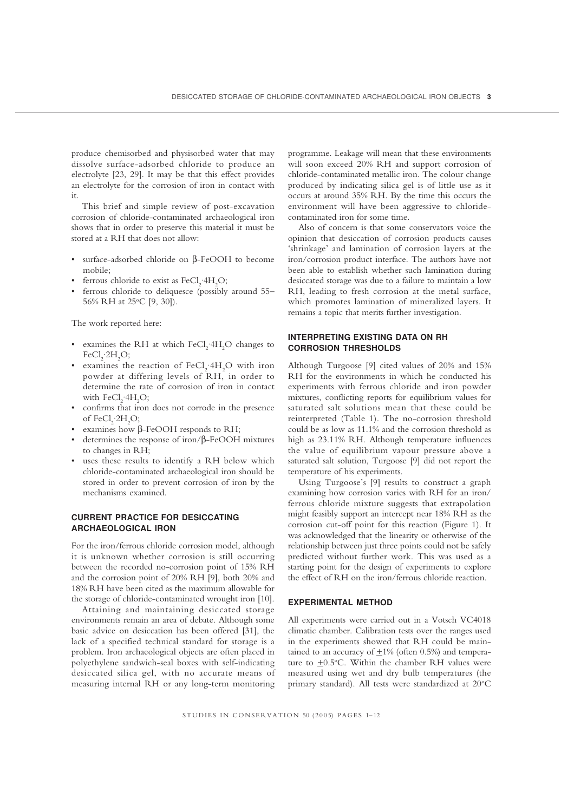produce chemisorbed and physisorbed water that may dissolve surface-adsorbed chloride to produce an electrolyte [23, 29]. It may be that this effect provides an electrolyte for the corrosion of iron in contact with it.

This brief and simple review of post-excavation corrosion of chloride-contaminated archaeological iron shows that in order to preserve this material it must be stored at a RH that does not allow:

- surface-adsorbed chloride on β-FeOOH to become mobile;
- ferrous chloride to exist as  $FeCl_2$   $4H_2O$ ;
- ferrous chloride to deliquesce (possibly around 55– 56% RH at 25°C [9, 30]).

The work reported here:

- examines the RH at which  $FeCl<sub>2</sub>·4H<sub>2</sub>O$  changes to  $FeCl<sub>2</sub>·2H<sub>2</sub>O;$
- examines the reaction of  $FeCl<sub>2</sub>·4H<sub>2</sub>O$  with iron powder at differing levels of RH, in order to determine the rate of corrosion of iron in contact with  $FeCl<sub>2</sub>·4H<sub>2</sub>O;$
- confirms that iron does not corrode in the presence of  $FeCl<sub>2</sub>·2H<sub>2</sub>O;$
- examines how β-FeOOH responds to RH;
- determines the response of iron/β-FeOOH mixtures to changes in RH;
- uses these results to identify a RH below which chloride-contaminated archaeological iron should be stored in order to prevent corrosion of iron by the mechanisms examined.

# **CURRENT PRACTICE FOR DESICCATING ARCHAEOLOGICAL IRON**

For the iron/ferrous chloride corrosion model, although it is unknown whether corrosion is still occurring between the recorded no-corrosion point of 15% RH and the corrosion point of 20% RH [9], both 20% and 18% RH have been cited as the maximum allowable for the storage of chloride-contaminated wrought iron [10].

Attaining and maintaining desiccated storage environments remain an area of debate. Although some basic advice on desiccation has been offered [31], the lack of a specified technical standard for storage is a problem. Iron archaeological objects are often placed in polyethylene sandwich-seal boxes with self-indicating desiccated silica gel, with no accurate means of measuring internal RH or any long-term monitoring

programme. Leakage will mean that these environments will soon exceed 20% RH and support corrosion of chloride-contaminated metallic iron. The colour change produced by indicating silica gel is of little use as it occurs at around 35% RH. By the time this occurs the environment will have been aggressive to chloridecontaminated iron for some time.

Also of concern is that some conservators voice the opinion that desiccation of corrosion products causes 'shrinkage' and lamination of corrosion layers at the iron/corrosion product interface. The authors have not been able to establish whether such lamination during desiccated storage was due to a failure to maintain a low RH, leading to fresh corrosion at the metal surface, which promotes lamination of mineralized layers. It remains a topic that merits further investigation.

## **INTERPRETING EXISTING DATA ON RH CORROSION THRESHOLDS**

Although Turgoose [9] cited values of 20% and 15% RH for the environments in which he conducted his experiments with ferrous chloride and iron powder mixtures, conflicting reports for equilibrium values for saturated salt solutions mean that these could be reinterpreted (Table 1). The no-corrosion threshold could be as low as 11.1% and the corrosion threshold as high as 23.11% RH. Although temperature influences the value of equilibrium vapour pressure above a saturated salt solution, Turgoose [9] did not report the temperature of his experiments.

Using Turgoose's [9] results to construct a graph examining how corrosion varies with RH for an iron/ ferrous chloride mixture suggests that extrapolation might feasibly support an intercept near 18% RH as the corrosion cut-off point for this reaction (Figure 1). It was acknowledged that the linearity or otherwise of the relationship between just three points could not be safely predicted without further work. This was used as a starting point for the design of experiments to explore the effect of RH on the iron/ferrous chloride reaction.

## **EXPERIMENTAL METHOD**

All experiments were carried out in a Votsch VC4018 climatic chamber. Calibration tests over the ranges used in the experiments showed that RH could be maintained to an accuracy of  $+1\%$  (often 0.5%) and temperature to  $\pm 0.5$ °C. Within the chamber RH values were measured using wet and dry bulb temperatures (the primary standard). All tests were standardized at 20°C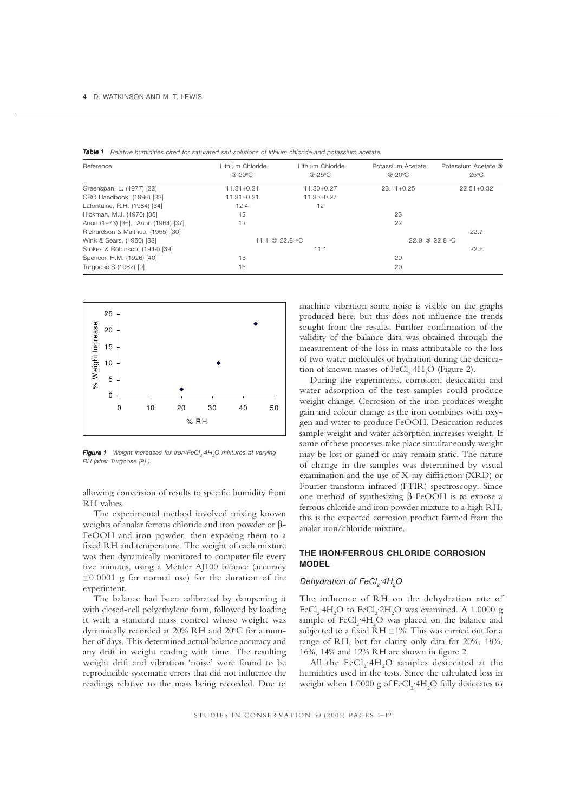| <b>Table 1</b> Relative humidities cited for saturated salt solutions of lithium chloride and potassium acetate. |  |  |  |
|------------------------------------------------------------------------------------------------------------------|--|--|--|
|                                                                                                                  |  |  |  |

| Reference                          | I ithium Chloride<br>@ 20°C | Lithium Chloride<br>@ 25°C | Potassium Acetate<br>@ 20°C   | Potassium Acetate @<br>$25^{\circ}$ C |
|------------------------------------|-----------------------------|----------------------------|-------------------------------|---------------------------------------|
| Greenspan, L. (1977) [32]          | $11.31 + 0.31$              | $11.30 + 0.27$             | $23.11 + 0.25$                | $22.51 + 0.32$                        |
| CRC Handbook, (1996) [33]          | $11.31 + 0.31$              | $11.30 + 0.27$             |                               |                                       |
| Lafontaine, R.H. (1984) [34]       | 12.4                        | 12                         |                               |                                       |
| Hickman, M.J. (1970) [35]          | 12                          |                            | 23                            |                                       |
| Anon (1973) [36], Anon (1964) [37] | 12                          |                            | 22                            |                                       |
| Richardson & Malthus, (1955) [30]  |                             |                            |                               | 22.7                                  |
| Wink & Sears, (1950) [38]          | 11.1 @ 22.8 $^{\circ}$ C    |                            | $22.9 \ @ \ 22.8 \ ^{\circ}C$ |                                       |
| Stokes & Robinson, (1949) [39]     |                             | 11.1                       |                               | 22.5                                  |
| Spencer, H.M. (1926) [40]          | 15                          |                            | 20                            |                                       |
| Turgoose, S (1982) [9]             | 15                          |                            | 20                            |                                       |



*Figure* 1 Weight increases for iron/FeCl<sub>2</sub>·4H<sub>2</sub>O mixtures at varying *RH (after Turgoose [9] ).*

allowing conversion of results to specific humidity from RH values.

The experimental method involved mixing known weights of analar ferrous chloride and iron powder or β-FeOOH and iron powder, then exposing them to a fixed RH and temperature. The weight of each mixture was then dynamically monitored to computer file every five minutes, using a Mettler AJ100 balance (accuracy ±0.0001 g for normal use) for the duration of the experiment.

The balance had been calibrated by dampening it with closed-cell polyethylene foam, followed by loading it with a standard mass control whose weight was dynamically recorded at 20% RH and 20°C for a number of days. This determined actual balance accuracy and any drift in weight reading with time. The resulting weight drift and vibration 'noise' were found to be reproducible systematic errors that did not influence the readings relative to the mass being recorded. Due to

machine vibration some noise is visible on the graphs produced here, but this does not influence the trends sought from the results. Further confirmation of the validity of the balance data was obtained through the measurement of the loss in mass attributable to the loss of two water molecules of hydration during the desiccation of known masses of  $FeCl<sub>2</sub>·4H<sub>2</sub>O$  (Figure 2).

During the experiments, corrosion, desiccation and water adsorption of the test samples could produce weight change. Corrosion of the iron produces weight gain and colour change as the iron combines with oxygen and water to produce FeOOH. Desiccation reduces sample weight and water adsorption increases weight. If some of these processes take place simultaneously weight may be lost or gained or may remain static. The nature of change in the samples was determined by visual examination and the use of X-ray diffraction (XRD) or Fourier transform infrared (FTIR) spectroscopy. Since one method of synthesizing β-FeOOH is to expose a ferrous chloride and iron powder mixture to a high RH, this is the expected corrosion product formed from the analar iron/chloride mixture.

# **THE IRON/FERROUS CHLORIDE CORROSION MODEL**

## Dehydration of FeCl<sub>2</sub>·4H<sub>2</sub>O

The influence of RH on the dehydration rate of FeCl<sub>2</sub>·4H<sub>2</sub>O to FeCl<sub>2</sub>·2H<sub>2</sub>O was examined. A 1.0000 g sample of  $FeCl<sub>2</sub>·4H<sub>2</sub>O$  was placed on the balance and subjected to a fixed  $\overline{R}H \pm 1\%$ . This was carried out for a range of RH, but for clarity only data for 20%, 18%, 16%, 14% and 12% RH are shown in figure 2.

All the  $\text{FeCl}_2$ -4H<sub>2</sub>O samples desiccated at the humidities used in the tests. Since the calculated loss in weight when  $1.0000$  g of FeCl<sub>2</sub>·4H<sub>2</sub>O fully desiccates to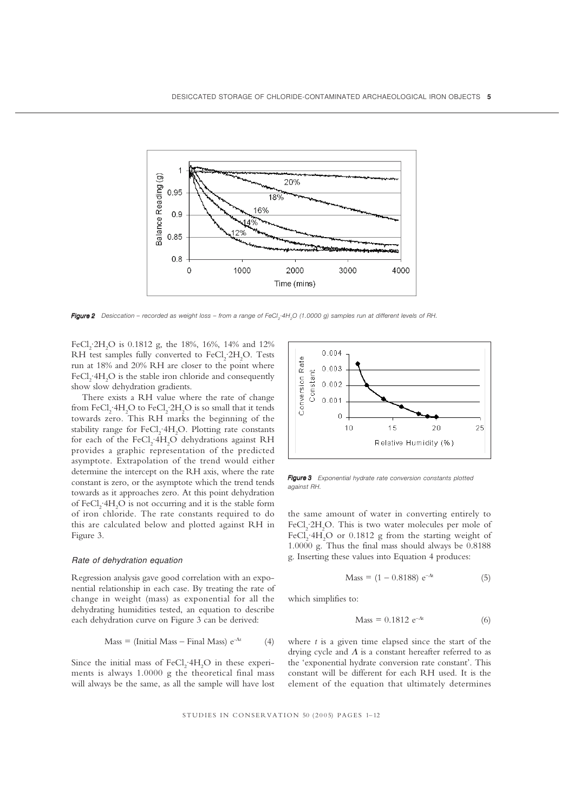

Figure 2 Desiccation - recorded as weight loss - from a range of FeCl<sub>2</sub>·4H<sub>2</sub>O (1.0000 g) samples run at different levels of RH.

FeCl<sub>2</sub> 2H<sub>2</sub>O is 0.1812 g, the 18%, 16%, 14% and 12% RH test samples fully converted to  $FeCl<sub>2</sub>·2H<sub>2</sub>O$ . Tests run at 18% and 20% RH are closer to the point where FeCl<sub>2</sub>  $4H_2O$  is the stable iron chloride and consequently show slow dehydration gradients.

There exists a RH value where the rate of change from FeCl<sub>2</sub>·4H<sub>2</sub>O to FeCl<sub>2</sub>·2H<sub>2</sub>O is so small that it tends towards zero. This RH marks the beginning of the stability range for  $FeCl<sub>2</sub>$  4H<sub>2</sub>O. Plotting rate constants for each of the  $\text{FeCl}_2$   $4\text{H}_2\text{O}$  dehydrations against RH provides a graphic representation of the predicted asymptote. Extrapolation of the trend would either determine the intercept on the RH axis, where the rate constant is zero, or the asymptote which the trend tends towards as it approaches zero. At this point dehydration of  $\text{FeCl}_{2}$  ·4H<sub>2</sub>O is not occurring and it is the stable form of iron chloride. The rate constants required to do this are calculated below and plotted against RH in Figure 3.

## *Rate of dehydration equation*

Regression analysis gave good correlation with an exponential relationship in each case. By treating the rate of change in weight (mass) as exponential for all the dehydrating humidities tested, an equation to describe each dehydration curve on Figure 3 can be derived:

$$
Mass = (Initial Mass - Final Mass) e^{-At}
$$
 (4)

Since the initial mass of  $FeCl<sub>2</sub>·4H<sub>2</sub>O$  in these experiments is always 1.0000 g the theoretical final mass will always be the same, as all the sample will have lost



*Figure 3 Exponential hydrate rate conversion constants plotted 3 against RH.*

the same amount of water in converting entirely to FeCl<sub>2</sub> 2H<sub>2</sub>O. This is two water molecules per mole of FeCl<sub>2</sub>.4H<sub>2</sub>O or 0.1812 g from the starting weight of 1.0000 g. Thus the final mass should always be 0.8188 g. Inserting these values into Equation 4 produces:

$$
Mass = (1 - 0.8188) e^{-At}
$$
 (5)

which simplifies to:

$$
Mass = 0.1812 e^{-At}
$$
 (6)

where *t* is a given time elapsed since the start of the drying cycle and  $\Lambda$  is a constant hereafter referred to as the 'exponential hydrate conversion rate constant'. This constant will be different for each RH used. It is the element of the equation that ultimately determines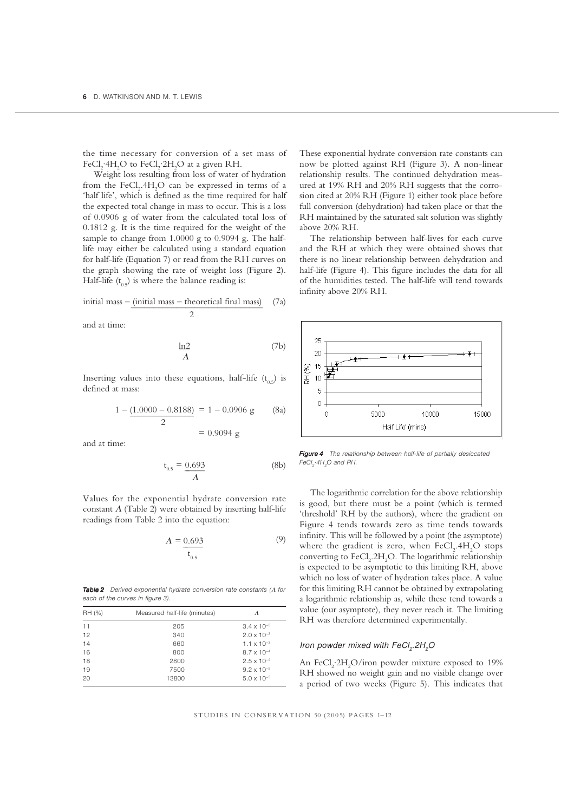the time necessary for conversion of a set mass of FeCl<sub>2</sub>·4H<sub>2</sub>O to FeCl<sub>2</sub>·2H<sub>2</sub>O at a given RH.

Weight loss resulting from loss of water of hydration from the  $\rm FeCl_{2}.4H_{2}O$  can be expressed in terms of a 'half life', which is defined as the time required for half the expected total change in mass to occur. This is a loss of 0.0906 g of water from the calculated total loss of 0.1812 g. It is the time required for the weight of the sample to change from 1.0000 g to 0.9094 g. The halflife may either be calculated using a standard equation for half-life (Equation 7) or read from the RH curves on the graph showing the rate of weight loss (Figure 2). Half-life  $(t_0, t)$  is where the balance reading is:

initial mass – (initial mass – theoretical final mass) 
$$
(7a)
$$
  $2$ 

and at time:

$$
\frac{\ln 2}{\Lambda} \tag{7b}
$$

Inserting values into these equations, half-life  $(t_0, t)$  is defined at mass:

$$
1 - \underbrace{(1.0000 - 0.8188)}_{2} = 1 - 0.0906 \text{ g} \qquad \text{(8a)}
$$

and at time:

$$
t_{0.5} = \frac{0.693}{\Lambda}
$$
 (8b)

 $= 0.9094 \text{ g}$ 

Values for the exponential hydrate conversion rate constant  $\Lambda$  (Table 2) were obtained by inserting half-life readings from Table 2 into the equation:

$$
A = \underbrace{0.693}_{t_{0.5}} \tag{9}
$$

*Table* **2** Derived exponential hydrate conversion rate constants (Λ for *each of the curves in figure 3).*

| RH (%) | Measured half-life (minutes) | Λ                    |
|--------|------------------------------|----------------------|
| 11     | 205                          | $3.4 \times 10^{-3}$ |
| 12     | 340                          | $2.0 \times 10^{-3}$ |
| 14     | 660                          | $1.1 \times 10^{-3}$ |
| 16     | 800                          | $8.7 \times 10^{-4}$ |
| 18     | 2800                         | $2.5 \times 10^{-4}$ |
| 19     | 7500                         | $9.2 \times 10^{-5}$ |
| 20     | 13800                        | $5.0 \times 10^{-5}$ |

These exponential hydrate conversion rate constants can now be plotted against RH (Figure 3). A non-linear relationship results. The continued dehydration measured at 19% RH and 20% RH suggests that the corrosion cited at 20% RH (Figure 1) either took place before full conversion (dehydration) had taken place or that the RH maintained by the saturated salt solution was slightly above 20% RH.

The relationship between half-lives for each curve and the RH at which they were obtained shows that there is no linear relationship between dehydration and half-life (Figure 4). This figure includes the data for all of the humidities tested. The half-life will tend towards infinity above 20% RH.



*Figure 4 The relationship between half-life of partially desiccated 4*  $FeCl<sub>2</sub>·4H<sub>2</sub>O$  and RH.

The logarithmic correlation for the above relationship is good, but there must be a point (which is termed 'threshold' RH by the authors), where the gradient on Figure 4 tends towards zero as time tends towards infinity. This will be followed by a point (the asymptote) where the gradient is zero, when  $\mathrm{FeCl}_2$ . $4\mathrm{H}_2\mathrm{O}$  stops converting to  $\text{FeCl}_2\text{.2H}_2\text{O}$ . The logarithmic relationship is expected to be asymptotic to this limiting RH, above which no loss of water of hydration takes place. A value for this limiting RH cannot be obtained by extrapolating a logarithmic relationship as, while these tend towards a value (our asymptote), they never reach it. The limiting RH was therefore determined experimentally.

## *Iron powder mixed with FeCl<sub>2</sub>.2H<sub>2</sub>O*

An FeCl<sub>2</sub>:2H<sub>2</sub>O/iron powder mixture exposed to 19% RH showed no weight gain and no visible change over a period of two weeks (Figure 5). This indicates that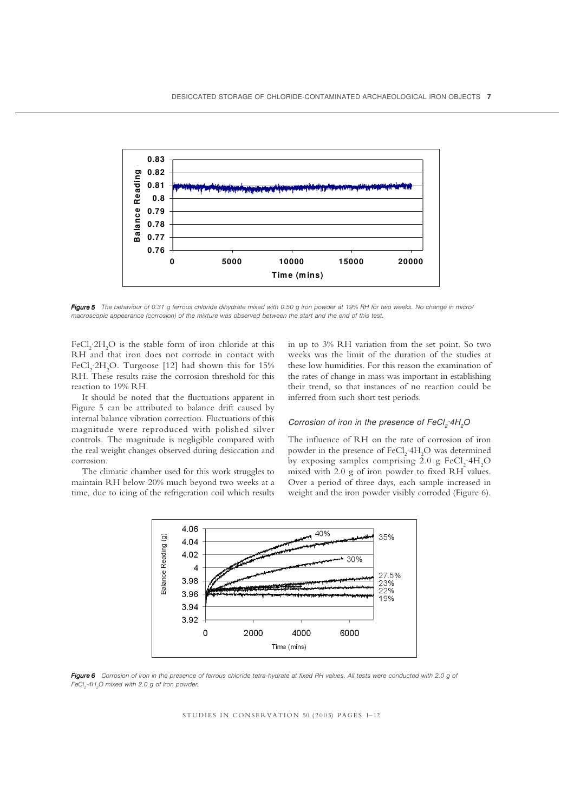

*Figure 5 The behaviour of 0.31 g ferrous chloride dihydrate mixed with 0.50 g iron powder at 19% RH for two weeks. No change in micro/ 5 macroscopic appearance (corrosion) of the mixture was observed between the start and the end of this test.*

FeCl<sub>2</sub>.2H<sub>2</sub>O is the stable form of iron chloride at this RH and that iron does not corrode in contact with FeCl<sub>2</sub>.2H<sub>2</sub>O. Turgoose [12] had shown this for 15% RH. These results raise the corrosion threshold for this reaction to 19% RH.

It should be noted that the fluctuations apparent in Figure 5 can be attributed to balance drift caused by internal balance vibration correction. Fluctuations of this magnitude were reproduced with polished silver controls. The magnitude is negligible compared with the real weight changes observed during desiccation and corrosion.

The climatic chamber used for this work struggles to maintain RH below 20% much beyond two weeks at a time, due to icing of the refrigeration coil which results in up to 3% RH variation from the set point. So two weeks was the limit of the duration of the studies at these low humidities. For this reason the examination of the rates of change in mass was important in establishing their trend, so that instances of no reaction could be inferred from such short test periods.

#### *Corrosion of iron in the presence of FeCl<sub>2</sub>·4H<sub>2</sub>O*

The influence of RH on the rate of corrosion of iron powder in the presence of FeCl<sub>2</sub>·4H<sub>2</sub>O was determined by exposing samples comprising 2.0 g  $FeCl_2 \cdot 4H_2O$ mixed with 2.0 g of iron powder to fixed RH values. Over a period of three days, each sample increased in weight and the iron powder visibly corroded (Figure 6).



*Figure 6 Corrosion of iron in the presence of ferrous chloride tetra-hydrate at fixed RH values. All tests were conducted with 2.0 g of 6 FeCl<sub>2</sub>*·4H<sub>2</sub>O mixed with 2.0 g of iron powder.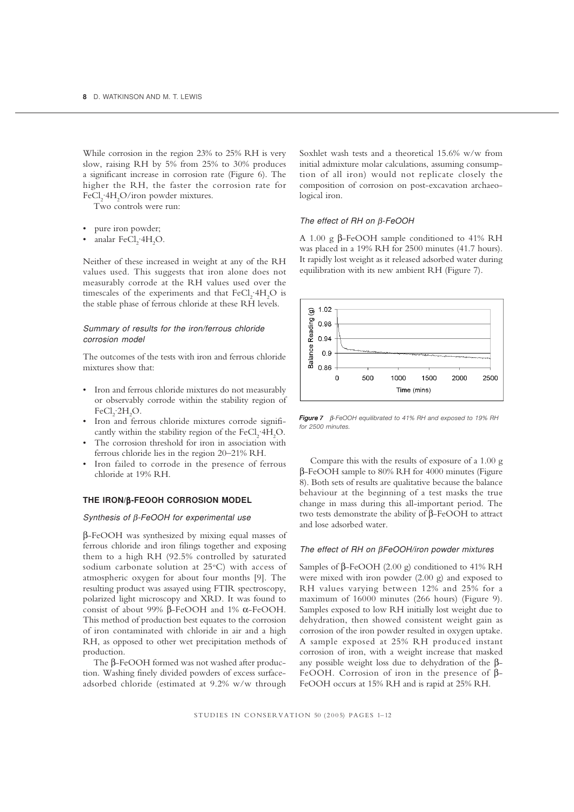While corrosion in the region 23% to 25% RH is very slow, raising RH by 5% from 25% to 30% produces a significant increase in corrosion rate (Figure 6). The higher the RH, the faster the corrosion rate for FeCl<sub>2</sub>·4H<sub>2</sub>O/iron powder mixtures.

Two controls were run:

- pure iron powder;
- analar  $\text{FeCl}_2$ :4 $\text{H}_2\text{O}$ .

Neither of these increased in weight at any of the RH values used. This suggests that iron alone does not measurably corrode at the RH values used over the timescales of the experiments and that  $FeCl<sub>2</sub>·4H<sub>2</sub>O$  is the stable phase of ferrous chloride at these RH levels.

#### *Summary of results for the iron/ferrous chloride corrosion model*

The outcomes of the tests with iron and ferrous chloride mixtures show that:

- Iron and ferrous chloride mixtures do not measurably or observably corrode within the stability region of  $FeCl<sub>2</sub>·2H<sub>2</sub>O.$
- Iron and ferrous chloride mixtures corrode significantly within the stability region of the  $FeCl<sub>2</sub>·4H<sub>2</sub>O$ .
- The corrosion threshold for iron in association with ferrous chloride lies in the region 20–21% RH.
- Iron failed to corrode in the presence of ferrous chloride at 19% RH.

## **THE IRON/**β**-FEOOH CORROSION MODEL**

#### *Synthesis of* β*-FeOOH for experimental use*

β-FeOOH was synthesized by mixing equal masses of ferrous chloride and iron filings together and exposing them to a high RH (92.5% controlled by saturated sodium carbonate solution at 25°C) with access of atmospheric oxygen for about four months [9]. The resulting product was assayed using FTIR spectroscopy, polarized light microscopy and XRD. It was found to consist of about 99% β-FeOOH and 1% α-FeOOH. This method of production best equates to the corrosion of iron contaminated with chloride in air and a high RH, as opposed to other wet precipitation methods of production.

The β-FeOOH formed was not washed after production. Washing finely divided powders of excess surfaceadsorbed chloride (estimated at 9.2% w/w through Soxhlet wash tests and a theoretical 15.6% w/w from initial admixture molar calculations, assuming consumption of all iron) would not replicate closely the composition of corrosion on post-excavation archaeological iron.

#### *The effect of RH on* β*-FeOOH*

A 1.00 g β-FeOOH sample conditioned to 41% RH was placed in a 19% RH for 2500 minutes (41.7 hours). It rapidly lost weight as it released adsorbed water during equilibration with its new ambient RH (Figure 7).



*Figure 7* β*-FeOOH equilibrated to 41% RH and exposed to 19% RH for 2500 minutes.*

Compare this with the results of exposure of a 1.00 g β-FeOOH sample to 80% RH for 4000 minutes (Figure 8). Both sets of results are qualitative because the balance behaviour at the beginning of a test masks the true change in mass during this all-important period. The two tests demonstrate the ability of β-FeOOH to attract and lose adsorbed water.

## *The effect of RH on* β*FeOOH/iron powder mixtures*

Samples of β-FeOOH (2.00 g) conditioned to 41% RH were mixed with iron powder (2.00 g) and exposed to RH values varying between 12% and 25% for a maximum of 16000 minutes (266 hours) (Figure 9). Samples exposed to low RH initially lost weight due to dehydration, then showed consistent weight gain as corrosion of the iron powder resulted in oxygen uptake. A sample exposed at 25% RH produced instant corrosion of iron, with a weight increase that masked any possible weight loss due to dehydration of the β-FeOOH. Corrosion of iron in the presence of β-FeOOH occurs at 15% RH and is rapid at 25% RH.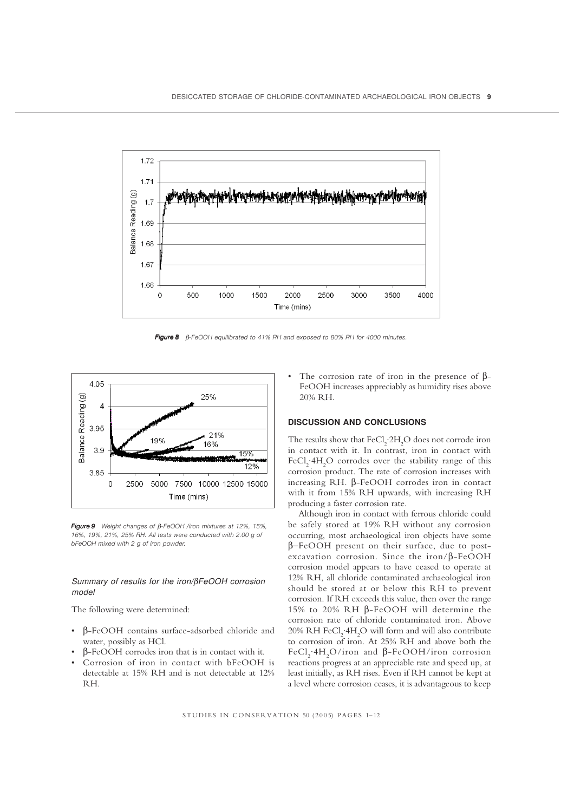

*Figure 8* β*-FeOOH equilibrated to 41% RH and exposed to 80% RH for 4000 minutes.*



*Figure 9 Weight changes of 9* β*-FeOOH /iron mixtures at 12%, 15%, 16%, 19%, 21%, 25% RH. All tests were conducted with 2.00 g of bFeOOH mixed with 2 g of iron powder.*

## *Summary of results for the iron/*β*FeOOH corrosion model*

The following were determined:

- β-FeOOH contains surface-adsorbed chloride and water, possibly as HCl.
- β-FeOOH corrodes iron that is in contact with it.
- Corrosion of iron in contact with bFeOOH is detectable at 15% RH and is not detectable at 12% RH.

The corrosion rate of iron in the presence of  $\beta$ -FeOOH increases appreciably as humidity rises above 20% RH.

## **DISCUSSION AND CONCLUSIONS**

The results show that  $\text{FeCl}_2$ :2H<sub>2</sub>O does not corrode iron in contact with it. In contrast, iron in contact with FeCl<sub>2</sub>.4H<sub>2</sub>O corrodes over the stability range of this corrosion product. The rate of corrosion increases with increasing RH. β-FeOOH corrodes iron in contact with it from 15% RH upwards, with increasing RH producing a faster corrosion rate.

Although iron in contact with ferrous chloride could be safely stored at 19% RH without any corrosion occurring, most archaeological iron objects have some β−FeOOH present on their surface, due to postexcavation corrosion. Since the iron/β-FeOOH corrosion model appears to have ceased to operate at 12% RH, all chloride contaminated archaeological iron should be stored at or below this RH to prevent corrosion. If RH exceeds this value, then over the range 15% to 20% RH β-FeOOH will determine the corrosion rate of chloride contaminated iron. Above  $20\%$  RH FeCl<sub>2</sub>·4H<sub>2</sub>O will form and will also contribute to corrosion of iron. At 25% RH and above both the FeCl<sub>2</sub>·4H<sub>2</sub>O/iron and β-FeOOH/iron corrosion reactions progress at an appreciable rate and speed up, at least initially, as RH rises. Even if RH cannot be kept at a level where corrosion ceases, it is advantageous to keep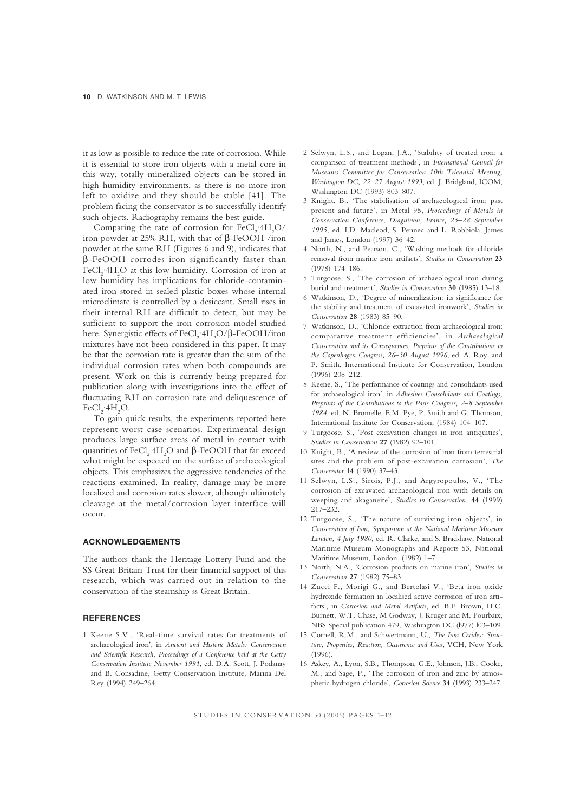it as low as possible to reduce the rate of corrosion. While it is essential to store iron objects with a metal core in this way, totally mineralized objects can be stored in high humidity environments, as there is no more iron left to oxidize and they should be stable [41]. The problem facing the conservator is to successfully identify such objects. Radiography remains the best guide.

Comparing the rate of corrosion for  $FeCl_2$   $4H_2O$ / iron powder at 25% RH, with that of  $β$ -FeOOH /iron powder at the same RH (Figures 6 and 9), indicates that β-FeOOH corrodes iron significantly faster than FeCl<sub>2</sub>·4H<sub>2</sub>O at this low humidity. Corrosion of iron at low humidity has implications for chloride-contaminated iron stored in sealed plastic boxes whose internal microclimate is controlled by a desiccant. Small rises in their internal RH are difficult to detect, but may be sufficient to support the iron corrosion model studied here. Synergistic effects of  $\text{FeCl}_2$ ·4H<sub>2</sub>O/β-FeOOH/iron mixtures have not been considered in this paper. It may be that the corrosion rate is greater than the sum of the individual corrosion rates when both compounds are present. Work on this is currently being prepared for publication along with investigations into the effect of fluctuating RH on corrosion rate and deliquescence of  $FeCl<sub>2</sub>·4H<sub>2</sub>O.$ 

To gain quick results, the experiments reported here represent worst case scenarios. Experimental design produces large surface areas of metal in contact with quantities of FeCl<sub>2</sub>·4H<sub>2</sub>O and β-FeOOH that far exceed what might be expected on the surface of archaeological objects. This emphasizes the aggressive tendencies of the reactions examined. In reality, damage may be more localized and corrosion rates slower, although ultimately cleavage at the metal/corrosion layer interface will occur.

# **ACKNOWLEDGEMENTS**

The authors thank the Heritage Lottery Fund and the SS Great Britain Trust for their financial support of this research, which was carried out in relation to the conservation of the steamship ss Great Britain.

# **REFERENCES**

1 Keene S.V., 'Real-time survival rates for treatments of archaeological iron', in *Ancient and Historic Metals: Conservation and Scientific Research, Proceedings of a Conference held at the Getty Conservation Institute November 1991*, ed. D.A. Scott, J. Podanay and B. Consadine, Getty Conservation Institute, Marina Del Rey (1994) 249–264.

- 2 Selwyn, L.S., and Logan, J.A., 'Stability of treated iron: a comparison of treatment methods', in *International Council for Museums Committee for Conservation 10th Triennial Meeting, Washington DC, 22–27 August 1993*, ed. J. Bridgland, ICOM, Washington DC (1993) 803–807.
- 3 Knight, B., 'The stabilisation of archaeological iron: past present and future', in Metal 95, *Proceedings of Metals in Conservation Conference, Draguinon, France, 25–28 September 1995*, ed. I.D. Macleod, S. Pennec and L. Robbiola, James and James, London (1997) 36–42.
- North, N., and Pearson, C., 'Washing methods for chloride removal from marine iron artifacts', *Studies in Conservation* **23** (1978) 174–186.
- 5 Turgoose, S., 'The corrosion of archaeological iron during burial and treatment', *Studies in Conservation* **30** (1985) 13–18.
- 6 Watkinson, D., 'Degree of mineralization: its significance for the stability and treatment of excavated ironwork', *Studies in Conservation* **28** (1983) 85–90.
- Watkinson, D., 'Chloride extraction from archaeological iron: comparative treatment efficiencies', in *Archaeological Conservation and its Consequences, Preprints of the Contributions to the Copenhagen Congress, 26–30 August 1996*, ed. A. Roy, and P. Smith, International Institute for Conservation, London (1996) 208–212.
- 8 Keene, S., 'The performance of coatings and consolidants used for archaeological iron', in *Adhesives Consolidants and Coatings, Preprints of the Contributions to the Paris Congress, 2–8 September 1984*, ed. N. Bromelle, E.M. Pye, P. Smith and G. Thomson, International Institute for Conservation, (1984) 104–107.
- 9 Turgoose, S., 'Post excavation changes in iron antiquities', *Studies in Conservation* **27** (1982) 92–101.
- 10 Knight, B., 'A review of the corrosion of iron from terrestrial sites and the problem of post-excavation corrosion', *The Conservator* **14** (1990) 37–43.
- 11 Selwyn, L.S., Sirois, P.J., and Argyropoulos, V., 'The corrosion of excavated archaeological iron with details on weeping and akaganeite', *Studies in Conservation*, **44** (1999) 217–232.
- 12 Turgoose, S., 'The nature of surviving iron objects', in *Conservation of Iron, Symposium at the National Maritime Museum London, 4 July 1980*, ed. R. Clarke, and S. Bradshaw, National Maritime Museum Monographs and Reports 53, National Maritime Museum, London. (1982) 1–7.
- 13 North, N.A., 'Corrosion products on marine iron', *Studies in Conservation* **27** (1982) 75–83.
- 14 Zucci F., Morigi G., and Bertolasi V., 'Beta iron oxide hydroxide formation in localised active corrosion of iron artifacts', in *Corrosion and Metal Artifacts*, ed. B.F. Brown, H.C. Burnett, W.T. Chase, M Godway, J. Kruger and M. Pourbaix, NBS Special publication 479, Washington DC (l977) l03–109.
- 15 Cornell, R.M., and Schwertmann, U., *The Iron Oxides: Structure, Properties, Reaction, Occurrence and Uses*, VCH, New York  $(1996)$
- 16 Askey, A., Lyon, S.B., Thompson, G.E., Johnson, J.B., Cooke, M., and Sage, P., 'The corrosion of iron and zinc by atmospheric hydrogen chloride', *Corrosion Science* **34** (1993) 233–247.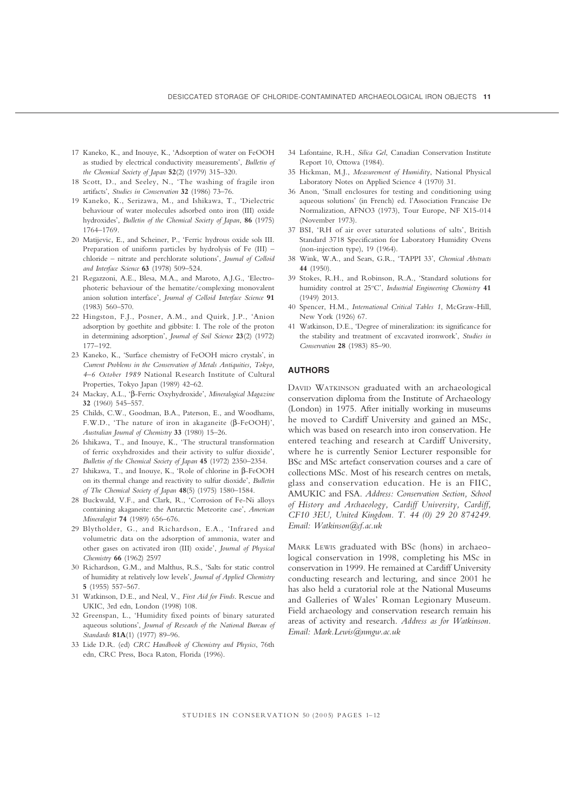- 17 Kaneko, K., and Inouye, K., 'Adsorption of water on FeOOH as studied by electrical conductivity measurements', *Bulletin of the Chemical Society of Japan* **52**(2) (1979) 315–320.
- 18 Scott, D., and Seeley, N., 'The washing of fragile iron artifacts', *Studies in Conservation* **32** (1986) 73–76.
- 19 Kaneko, K., Serizawa, M., and Ishikawa, T., 'Dielectric behaviour of water molecules adsorbed onto iron (III) oxide hydroxides', *Bulletin of the Chemical Society of Japan*, **86** (1975) 1764–1769.
- 20 Matijevic, E., and Scheiner, P., 'Ferric hydrous oxide sols III. Preparation of uniform particles by hydrolysis of Fe (III) – chloride – nitrate and perchlorate solutions', *Journal of Colloid and Interface Science* **63** (1978) 509–524.
- 21 Regazzoni, A.E., Blesa, M.A., and Maroto, A.J.G., 'Electrophoteric behaviour of the hematite/complexing monovalent anion solution interface', *Journal of Colloid Interface Science* **91** (1983) 560–570.
- 22 Hingston, F.J., Posner, A.M., and Quirk, J.P., 'Anion adsorption by goethite and gibbsite: I. The role of the proton in determining adsorption', *Journal of Soil Science* **23**(2) (1972) 177–192.
- 23 Kaneko, K., 'Surface chemistry of FeOOH micro crystals', in *Current Problems in the Conservation of Metals Antiquities, Tokyo, 4–6 October 1989* National Research Institute of Cultural Properties, Tokyo Japan (1989) 42–62.
- 24 Mackay, A.L., 'β-Ferric Oxyhydroxide', *Mineralogical Magazine* **32** (1960) 545–557.
- 25 Childs, C.W., Goodman, B.A., Paterson, E., and Woodhams, F.W.D., 'The nature of iron in akaganeite (β-FeOOH)', *Australian Journal of Chemistry* **33** (1980) 15–26.
- 26 Ishikawa, T., and Inouye, K., 'The structural transformation of ferric oxyhdroxides and their activity to sulfur dioxide', *Bulletin of the Chemical Society of Japan* **45** (1972) 2350–2354.
- 27 Ishikawa, T., and Inouye, K., 'Role of chlorine in β-FeOOH on its thermal change and reactivity to sulfur dioxide', *Bulletin of The Chemical Society of Japan* **48**(5) (1975) 1580–1584.
- 28 Buckwald, V.F., and Clark, R., 'Corrosion of Fe-Ni alloys containing akaganeite: the Antarctic Meteorite case', *American Mineralogist* **74** (1989) 656–676.
- 29 Blytholder, G., and Richardson, E.A., 'Infrared and volumetric data on the adsorption of ammonia, water and other gases on activated iron (III) oxide', *Journal of Physical Chemistry* **66** (1962) 2597
- 30 Richardson, G.M., and Malthus, R.S., 'Salts for static control of humidity at relatively low levels', *Journal of Applied Chemistry* **5** (1955) 557–567.
- 31 Watkinson, D.E., and Neal, V., *First Aid for Finds*. Rescue and UKIC, 3rd edn, London (1998) 108.
- 32 Greenspan, L., 'Humidity fixed points of binary saturated aqueous solutions', *Journal of Research of the National Bureau of Standards* **81A**(1) (1977) 89–96.
- 33 Lide D.R. (ed) *CRC Handbook of Chemistry and Physics*, 76th edn, CRC Press, Boca Raton, Florida (1996).
- 34 Lafontaine, R.H., *Silica Gel*, Canadian Conservation Institute Report 10, Ottowa (1984).
- 35 Hickman, M.J., *Measurement of Humidity*, National Physical Laboratory Notes on Applied Science 4 (1970) 31.
- 36 Anon, 'Small enclosures for testing and conditioning using aqueous solutions' (in French) ed. l'Association Francaise De Normalization, AFNO3 (1973), Tour Europe, NF X15-014 (November 1973).
- 37 BSI, 'RH of air over saturated solutions of salts', British Standard 3718 Specification for Laboratory Humidity Ovens (non-injection type), 19 (1964).
- 38 Wink, W.A., and Sears, G.R., 'TAPPI 33', *Chemical Abstracts* **44** (1950).
- 39 Stokes, R.H., and Robinson, R.A., 'Standard solutions for humidity control at 25°C', Industrial Engineering Chemistry 41 (1949) 2013.
- 40 Spencer, H.M., *International Critical Tables 1*, McGraw-Hill, New York (1926) 67.
- 41 Watkinson, D.E., 'Degree of mineralization: its significance for the stability and treatment of excavated ironwork', *Studies in Conservation* **28** (1983) 85–90.

#### **AUTHORS**

DAVID WATKINSON graduated with an archaeological conservation diploma from the Institute of Archaeology (London) in 1975. After initially working in museums he moved to Cardiff University and gained an MSc, which was based on research into iron conservation. He entered teaching and research at Cardiff University, where he is currently Senior Lecturer responsible for BSc and MSc artefact conservation courses and a care of collections MSc. Most of his research centres on metals, glass and conservation education. He is an FIIC, AMUKIC and FSA. *Address: Conservation Section, School of History and Archaeology, Cardiff University, Cardiff, CF10 3EU, United Kingdom. T. 44 (0) 29 20 874249. Email: Watkinson@cf.ac.uk*

MARK LEWIS graduated with BSc (hons) in archaeological conservation in 1998, completing his MSc in conservation in 1999. He remained at Cardiff University conducting research and lecturing, and since 2001 he has also held a curatorial role at the National Museums and Galleries of Wales' Roman Legionary Museum. Field archaeology and conservation research remain his areas of activity and research. *Address as for Watkinson. Email: Mark.Lewis@nmgw.ac.uk*